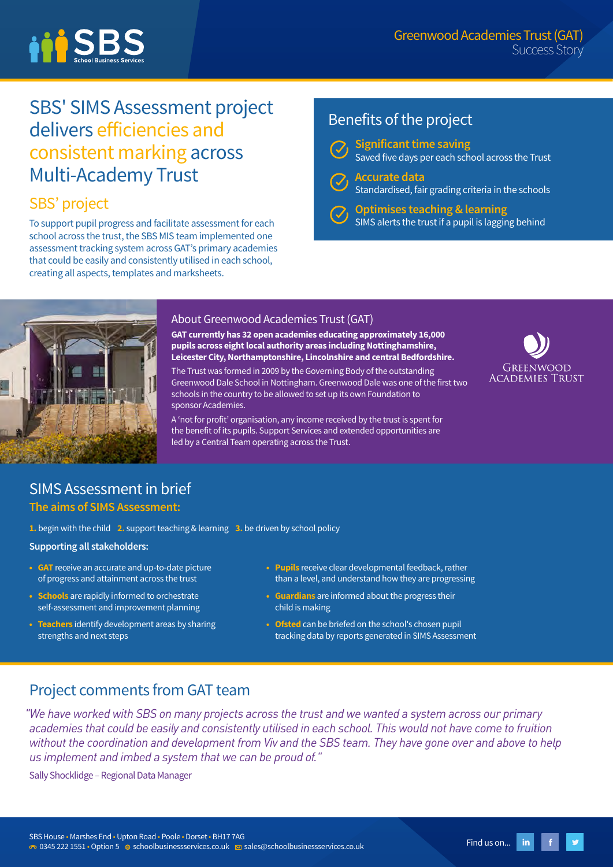

# SBS' SIMS Assessment project delivers efficiencies and consistent marking across Multi-Academy Trust

# SBS' project

To support pupil progress and facilitate assessment for each school across the trust, the SBS MIS team implemented one assessment tracking system across GAT's primary academies that could be easily and consistently utilised in each school, creating all aspects, templates and marksheets.

# Benefits of the project

**Significant time saving**

- - Saved five days per each school across the Trust **Accurate data** Standardised, fair grading criteria in the schools
		- **Optimises teaching & learning** SIMS alerts the trust if a pupil is lagging behind



## About Greenwood Academies Trust (GAT)

**GAT currently has 32 open academies educating approximately 16,000 pupils across eight local authority areas including Nottinghamshire, Leicester City, Northamptonshire, Lincolnshire and central Bedfordshire.**

The Trust was formed in 2009 by the Governing Body of the outstanding Greenwood Dale School in Nottingham. Greenwood Dale was one of the first two schools in the country to be allowed to set up its own Foundation to sponsor Academies.

A 'not for profit' organisation, any income received by the trust is spent for the benefit of its pupils. Support Services and extended opportunities are led by a Central Team operating across the Trust.



## SIMS Assessment in brief **The aims of SIMS Assessment:**

**1.** begin with the child **2.** support teaching & learning **3.** be driven by school policy

**Supporting all stakeholders:**

- **• GAT** receive an accurate and up-to-date picture of progress and attainment across the trust
- **• Schools** are rapidly informed to orchestrate self-assessment and improvement planning
- **• Teachers** identify development areas by sharing strengths and next steps
- **• Pupils** receive clear developmental feedback, rather than a level, and understand how they are progressing
- **• Guardians** are informed about the progress their child is making
- **• Ofsted** can be briefed on the school's chosen pupil tracking data by reports generated in SIMS Assessment

## Project comments from GAT team

*"We have worked with SBS on many projects across the trust and we wanted a system across our primary academies that could be easily and consistently utilised in each school. This would not have come to fruition without the coordination and development from Viv and the SBS team. They have gone over and above to help us implement and imbed a system that we can be proud of."*

Sally Shocklidge – Regional Data Manager

in